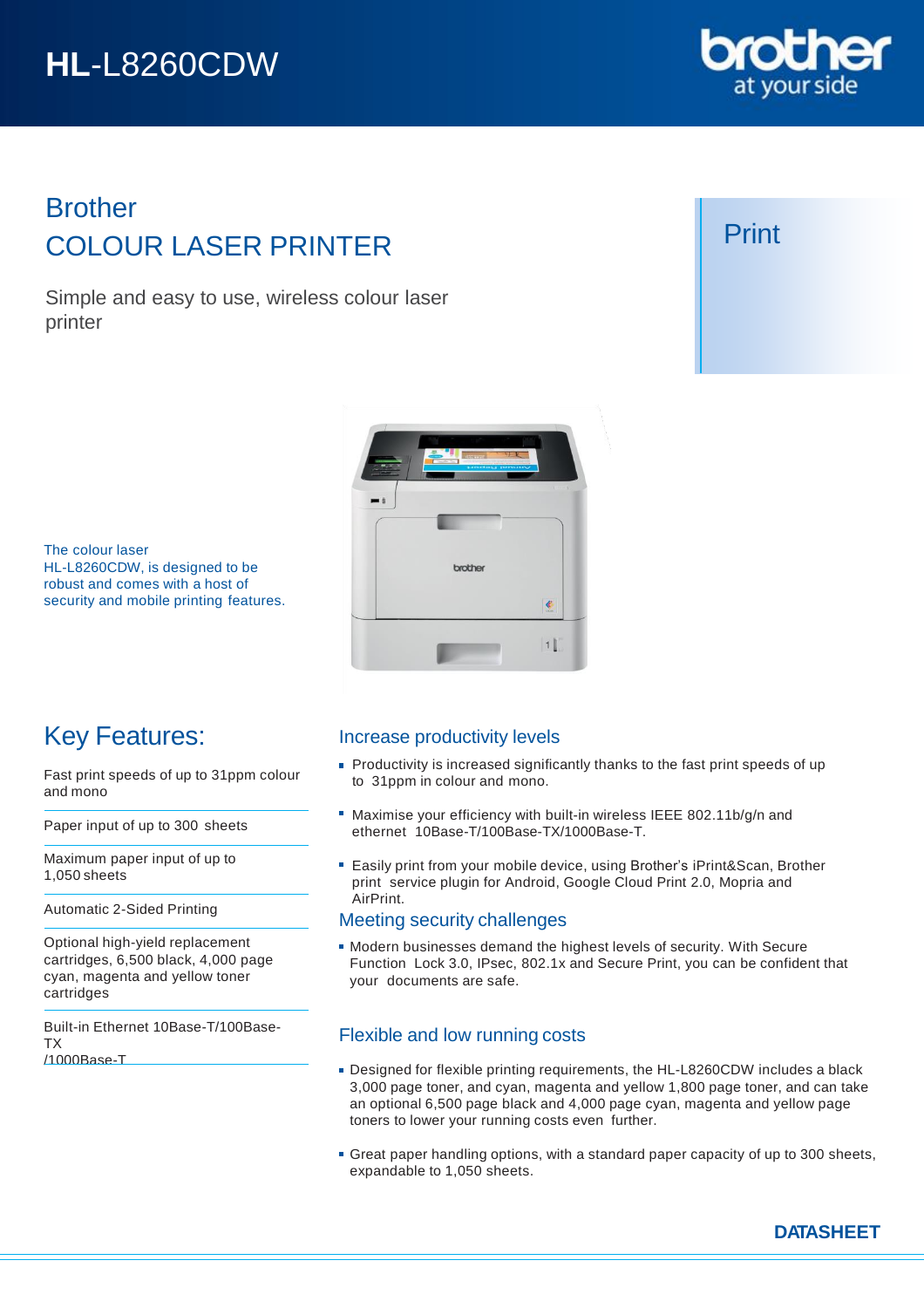# **HL**-L8260CDW

# Brother COLOUR LASER PRINTER

Simple and easy to use, wireless colour laser printer



# Print

The colour laser HL-L8260CDW, is designed to be robust and comes with a host of security and mobile printing features.



# Key Features:

Fast print speeds of up to 31ppm colour and mono

Paper input of up to 300 sheets

Maximum paper input of up to 1,050 sheets

Automatic 2-Sided Printing

Optional high-yield replacement cartridges, 6,500 black, 4,000 page cyan, magenta and yellow toner cartridges

Built-in Ethernet 10Base-T/100Base-TX /1000Base-T

## Increase productivity levels

- **Productivity is increased significantly thanks to the fast print speeds of up** to 31ppm in colour and mono.
- Maximise your efficiency with built-in wireless IEEE 802.11b/g/n and ethernet 10Base-T/100Base-TX/1000Base-T.
- Easily print from your mobile device, using Brother's iPrint&Scan, Brother print service plugin for Android, Google Cloud Print 2.0, Mopria and AirPrint.

## Meeting security challenges

Modern businesses demand the highest levels of security. With Secure Function Lock 3.0, IPsec, 802.1x and Secure Print, you can be confident that your documents are safe.

## Flexible and low running costs

- Designed for flexible printing requirements, the HL-L8260CDW includes a black 3,000 page toner, and cyan, magenta and yellow 1,800 page toner, and can take an optional 6,500 page black and 4,000 page cyan, magenta and yellow page toners to lower your running costs even further.
- **Great paper handling options, with a standard paper capacity of up to 300 sheets,** expandable to 1,050 sheets.

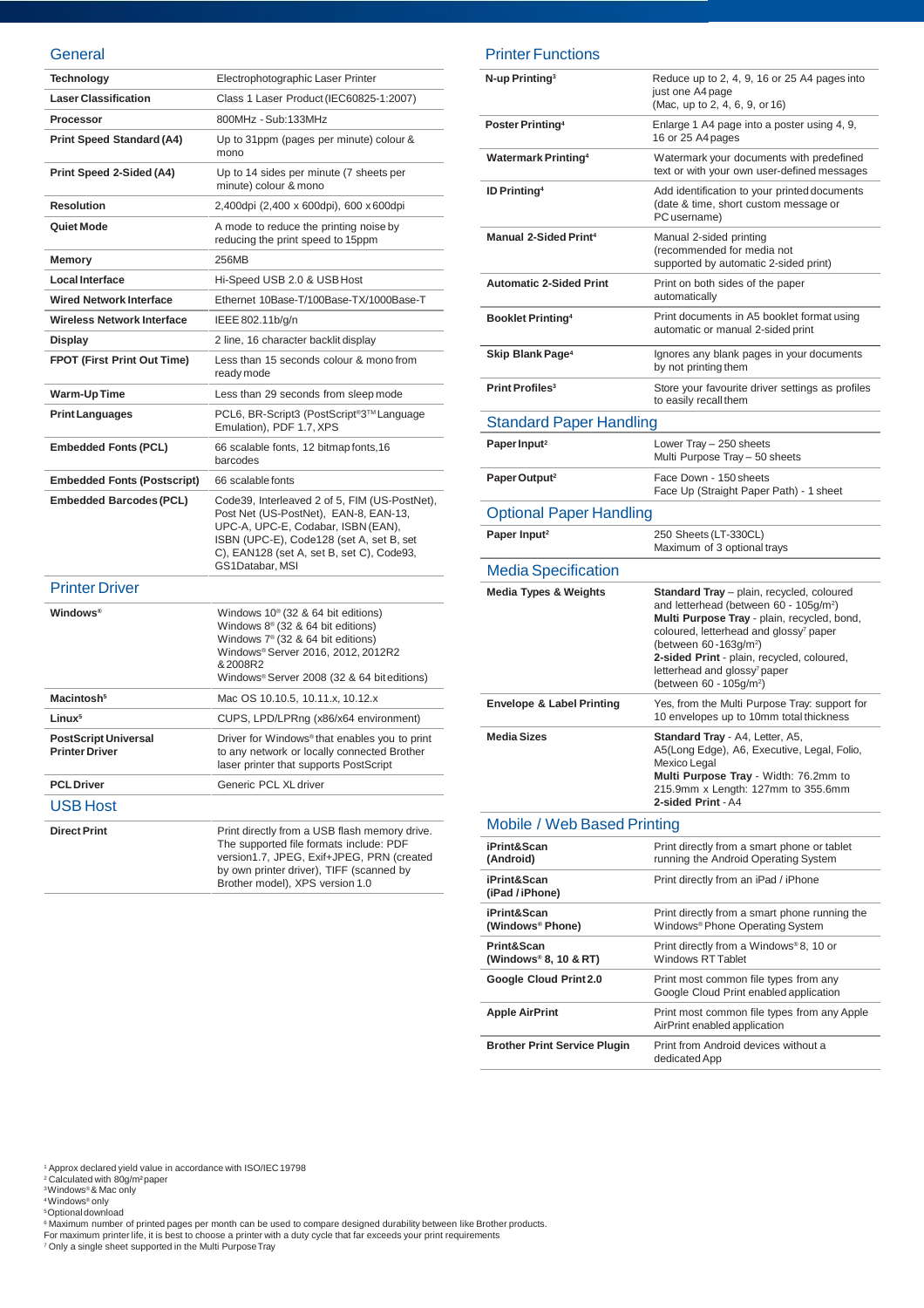#### **General**

| Technology                                           | Electrophotographic Laser Printer                                                                                                                                                                                                          |
|------------------------------------------------------|--------------------------------------------------------------------------------------------------------------------------------------------------------------------------------------------------------------------------------------------|
| <b>Laser Classification</b>                          | Class 1 Laser Product (IEC60825-1:2007)                                                                                                                                                                                                    |
| Processor                                            | 800MHz - Sub:133MHz                                                                                                                                                                                                                        |
| <b>Print Speed Standard (A4)</b>                     | Up to 31ppm (pages per minute) colour &<br>mono                                                                                                                                                                                            |
| Print Speed 2-Sided (A4)                             | Up to 14 sides per minute (7 sheets per<br>minute) colour & mono                                                                                                                                                                           |
| <b>Resolution</b>                                    | 2,400dpi (2,400 x 600dpi), 600 x 600dpi                                                                                                                                                                                                    |
| Quiet Mode                                           | A mode to reduce the printing noise by<br>reducing the print speed to 15ppm                                                                                                                                                                |
| Memory                                               | 256MB                                                                                                                                                                                                                                      |
| <b>Local Interface</b>                               | Hi-Speed USB 2.0 & USB Host                                                                                                                                                                                                                |
| <b>Wired Network Interface</b>                       | Ethernet 10Base-T/100Base-TX/1000Base-T                                                                                                                                                                                                    |
| <b>Wireless Network Interface</b>                    | IEEE 802.11b/g/n                                                                                                                                                                                                                           |
| Display                                              | 2 line, 16 character backlit display                                                                                                                                                                                                       |
| <b>FPOT (First Print Out Time)</b>                   | Less than 15 seconds colour & mono from<br>ready mode                                                                                                                                                                                      |
| Warm-Up Time                                         | Less than 29 seconds from sleep mode                                                                                                                                                                                                       |
| <b>Print Languages</b>                               | PCL6, BR-Script3 (PostScript <sup>®</sup> 3™ Language<br>Emulation), PDF 1.7, XPS                                                                                                                                                          |
| <b>Embedded Fonts (PCL)</b>                          | 66 scalable fonts, 12 bitmap fonts, 16<br>barcodes                                                                                                                                                                                         |
| <b>Embedded Fonts (Postscript)</b>                   | 66 scalable fonts                                                                                                                                                                                                                          |
| <b>Embedded Barcodes (PCL)</b>                       | Code39, Interleaved 2 of 5, FIM (US-PostNet),<br>Post Net (US-PostNet), EAN-8, EAN-13,<br>UPC-A, UPC-E, Codabar, ISBN (EAN),<br>ISBN (UPC-E), Code128 (set A, set B, set<br>C), EAN128 (set A, set B, set C), Code93,<br>GS1Databar, MSI   |
| <b>Printer Driver</b>                                |                                                                                                                                                                                                                                            |
| <b>Windows®</b>                                      | Windows $10^{\circ}$ (32 & 64 bit editions)<br>Windows 8 <sup>®</sup> (32 & 64 bit editions)<br>Windows $7^{\circ}$ (32 & 64 bit editions)<br>Windows® Server 2016, 2012, 2012R2<br>&2008R2<br>Windows® Server 2008 (32 & 64 bit editions) |
| Macintosh <sup>5</sup>                               | Mac OS 10.10.5, 10.11.x, 10.12.x                                                                                                                                                                                                           |
| Linux <sup>5</sup>                                   | CUPS, LPD/LPRng (x86/x64 environment)                                                                                                                                                                                                      |
| <b>PostScript Universal</b><br><b>Printer Driver</b> | Driver for Windows <sup>®</sup> that enables you to print<br>to any network or locally connected Brother<br>laser printer that supports PostScript                                                                                         |
| <b>PCL Driver</b>                                    | Generic PCL XL driver                                                                                                                                                                                                                      |
| <b>USB Host</b>                                      |                                                                                                                                                                                                                                            |
| <b>Direct Print</b>                                  | Print directly from a USB flash memory drive.<br>The supported file formats include: PDF<br>version1.7, JPEG, Exif+JPEG, PRN (created<br>by own printer driver), TIFF (scanned by<br>Brother model), XPS version 1.0                       |

#### Printer Functions

| N-up Printing <sup>3</sup>           | Reduce up to 2, 4, 9, 16 or 25 A4 pages into<br>just one A4 page<br>(Mac, up to 2, 4, 6, 9, or 16)                                                                                                                                               |  |
|--------------------------------------|--------------------------------------------------------------------------------------------------------------------------------------------------------------------------------------------------------------------------------------------------|--|
| Poster Printing <sup>4</sup>         | Enlarge 1 A4 page into a poster using 4, 9,<br>16 or 25 A4 pages                                                                                                                                                                                 |  |
| <b>Watermark Printing4</b>           | Watermark your documents with predefined<br>text or with your own user-defined messages                                                                                                                                                          |  |
| <b>ID Printing4</b>                  | Add identification to your printed documents<br>(date & time, short custom message or<br>PC username)                                                                                                                                            |  |
| <b>Manual 2-Sided Print4</b>         | Manual 2-sided printing<br>(recommended for media not<br>supported by automatic 2-sided print)                                                                                                                                                   |  |
| <b>Automatic 2-Sided Print</b>       | Print on both sides of the paper<br>automatically                                                                                                                                                                                                |  |
| <b>Booklet Printing4</b>             | Print documents in A5 booklet format using<br>automatic or manual 2-sided print                                                                                                                                                                  |  |
| Skip Blank Page <sup>4</sup>         | Ignores any blank pages in your documents<br>by not printing them                                                                                                                                                                                |  |
| Print Profiles <sup>3</sup>          | Store your favourite driver settings as profiles<br>to easily recall them                                                                                                                                                                        |  |
| <b>Standard Paper Handling</b>       |                                                                                                                                                                                                                                                  |  |
| Paper Input <sup>2</sup>             | Lower Tray - 250 sheets<br>Multi Purpose Tray - 50 sheets                                                                                                                                                                                        |  |
| Paper Output <sup>2</sup>            | Face Down - 150 sheets<br>Face Up (Straight Paper Path) - 1 sheet                                                                                                                                                                                |  |
| <b>Optional Paper Handling</b>       |                                                                                                                                                                                                                                                  |  |
| Paper Input <sup>2</sup>             | 250 Sheets (LT-330CL)<br>Maximum of 3 optional trays                                                                                                                                                                                             |  |
| <b>Media Specification</b>           |                                                                                                                                                                                                                                                  |  |
| <b>Media Types &amp; Weights</b>     | <b>Standard Tray</b> - plain, recycled, coloured<br>and letterhead (between 60 - 105g/m <sup>2</sup> )<br>Multi Purpose Tray - plain, recycled, bond,<br>coloured, letterhead and glossy <sup>7</sup> paper<br>(between 60-163g/m <sup>2</sup> ) |  |
|                                      | 2-sided Print - plain, recycled, coloured,<br>letterhead and glossy <sup>7</sup> paper<br>(between 60 - 105g/m <sup>2</sup> )                                                                                                                    |  |
| <b>Envelope &amp; Label Printing</b> | Yes, from the Multi Purpose Tray: support for<br>10 envelopes up to 10mm total thickness                                                                                                                                                         |  |
| <b>Media Sizes</b>                   | Standard Tray - A4, Letter, A5,<br>A5(Long Edge), A6, Executive, Legal, Folio,<br>Mexico Legal<br>Multi Purpose Tray - Width: 76.2mm to<br>215.9mm x Length: 127mm to 355.6mm<br>2-sided Print - A4                                              |  |
| Mobile / Web Based Printing          |                                                                                                                                                                                                                                                  |  |
| iPrint&Scan<br>(Android)             | Print directly from a smart phone or tablet<br>running the Android Operating System                                                                                                                                                              |  |
| iPrint&Scan<br>(iPad / iPhone)       | Print directly from an iPad / iPhone                                                                                                                                                                                                             |  |
| iPrint&Scan<br>(Windows® Phone)      | Print directly from a smart phone running the<br>Windows <sup>®</sup> Phone Operating System                                                                                                                                                     |  |
| Print&Scan<br>(Windows® 8, 10 & RT)  | Print directly from a Windows®8, 10 or<br><b>Windows RT Tablet</b>                                                                                                                                                                               |  |
| Google Cloud Print 2.0               | Print most common file types from any<br>Google Cloud Print enabled application                                                                                                                                                                  |  |
| <b>Apple AirPrint</b>                | Print most common file types from any Apple<br>AirPrint enabled application                                                                                                                                                                      |  |

' Approx declared yield value in accordance with ISO/IEC 19798<br><sup>2</sup> Calculated with 80g/m<sup>2</sup>paper<br><sup>3</sup>Windows® & Mac only<br><sup>3</sup>Windows® only<br><sup>5</sup>Optional download<br>For maximum number of printed pages per month can be used to co